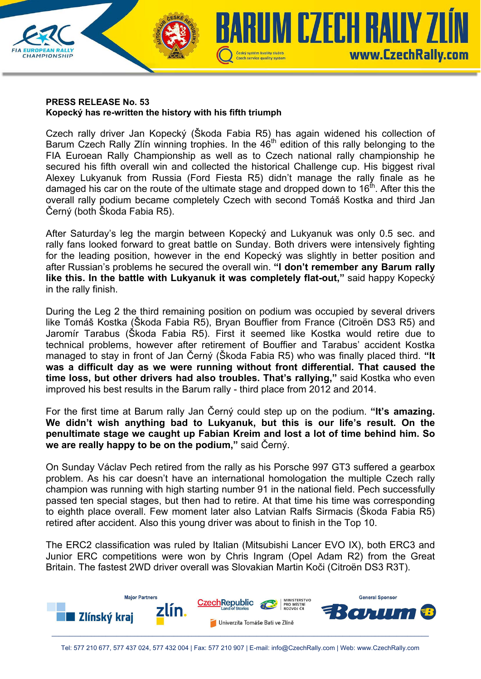## **PRESS RELEASE No. 53 Kopecký has re-written the history with his fifth triumph**

**CHAMPIONSHIP** 

Czech rally driver Jan Kopecký (Škoda Fabia R5) has again widened his collection of Barum Czech Rally Zlín winning trophies. In the 46<sup>th</sup> edition of this rally belonging to the FIA Euroean Rally Championship as well as to Czech national rally championship he secured his fifth overall win and collected the historical Challenge cup. His biggest rival Alexey Lukyanuk from Russia (Ford Fiesta R5) didn't manage the rally finale as he damaged his car on the route of the ultimate stage and dropped down to  $16<sup>th</sup>$ . After this the overall rally podium became completely Czech with second Tomáš Kostka and third Jan Černý (both Škoda Fabia R5).

Czech service quality system

**UM CZECH RALIY ZI** 

www.CzechRally.com

After Saturday's leg the margin between Kopecký and Lukyanuk was only 0.5 sec. and rally fans looked forward to great battle on Sunday. Both drivers were intensively fighting for the leading position, however in the end Kopecký was slightly in better position and after Russian's problems he secured the overall win. **"I don't remember any Barum rally like this. In the battle with Lukyanuk it was completely flat-out,"** said happy Kopecký in the rally finish.

During the Leg 2 the third remaining position on podium was occupied by several drivers like Tomáš Kostka (Škoda Fabia R5), Bryan Bouffier from France (Citroën DS3 R5) and Jaromír Tarabus (Škoda Fabia R5). First it seemed like Kostka would retire due to technical problems, however after retirement of Bouffier and Tarabus' accident Kostka managed to stay in front of Jan Černý (Škoda Fabia R5) who was finally placed third. **"It was a difficult day as we were running without front differential. That caused the time loss, but other drivers had also troubles. That's rallying,"** said Kostka who even improved his best results in the Barum rally - third place from 2012 and 2014.

For the first time at Barum rally Jan Černý could step up on the podium. **"It's amazing. We didn't wish anything bad to Lukyanuk, but this is our life's result. On the penultimate stage we caught up Fabian Kreim and lost a lot of time behind him. So we are really happy to be on the podium,"** said Černý.

On Sunday Václav Pech retired from the rally as his Porsche 997 GT3 suffered a gearbox problem. As his car doesn't have an international homologation the multiple Czech rally champion was running with high starting number 91 in the national field. Pech successfully passed ten special stages, but then had to retire. At that time his time was corresponding to eighth place overall. Few moment later also Latvian Ralfs Sirmacis (Škoda Fabia R5) retired after accident. Also this young driver was about to finish in the Top 10.

The ERC2 classification was ruled by Italian (Mitsubishi Lancer EVO IX), both ERC3 and Junior ERC competitions were won by Chris Ingram (Opel Adam R2) from the Great Britain. The fastest 2WD driver overall was Slovakian Martin Koči (Citroën DS3 R3T).